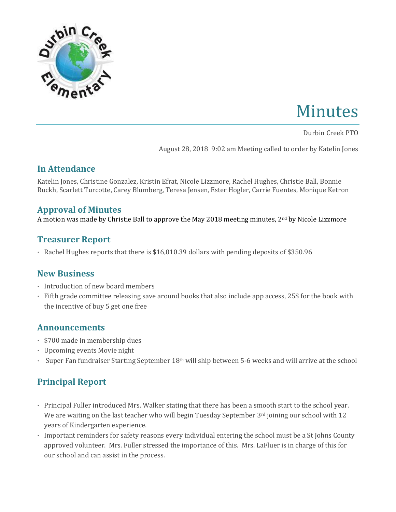

# Minutes

Durbin Creek PTO

August 28, 2018 9:02 am Meeting called to order by Katelin Jones

#### **In Attendance**

Katelin Jones, Christine Gonzalez, Kristin Efrat, Nicole Lizzmore, Rachel Hughes, Christie Ball, Bonnie Ruckh, Scarlett Turcotte, Carey Blumberg, Teresa Jensen, Ester Hogler, Carrie Fuentes, Monique Ketron

## **Approval of Minutes**

A motion was made by Christie Ball to approve the May 2018 meeting minutes, 2nd by Nicole Lizzmore

## **Treasurer Report**

· Rachel Hughes reports that there is \$16,010.39 dollars with pending deposits of \$350.96

## **New Business**

- · Introduction of new board members
- · Fifth grade committee releasing save around books that also include app access, 25\$ for the book with the incentive of buy 5 get one free

## **Announcements**

- · \$700 made in membership dues
- · Upcoming events Movie night
- · Super Fan fundraiser Starting September 18th will ship between 5-6 weeks and will arrive at the school

## **Principal Report**

- · Principal Fuller introduced Mrs. Walker stating that there has been a smooth start to the school year. We are waiting on the last teacher who will begin Tuesday September 3rd joining our school with 12 years of Kindergarten experience.
- · Important reminders for safety reasons every individual entering the school must be a St Johns County approved volunteer. Mrs. Fuller stressed the importance of this. Mrs. LaFluer is in charge of this for our school and can assist in the process.